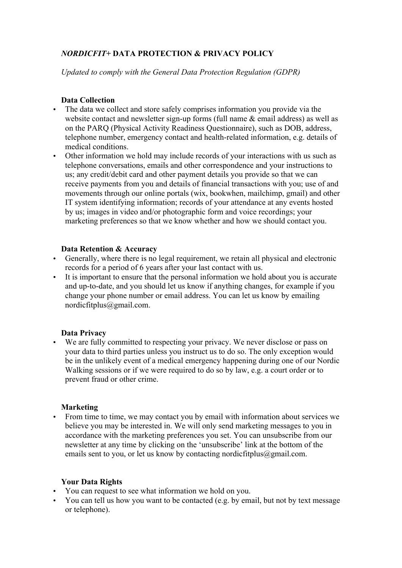# *NORDICFIT+* **DATA PROTECTION & PRIVACY POLICY**

*Updated to comply with the General Data Protection Regulation (GDPR)*

## **Data Collection**

- The data we collect and store safely comprises information you provide via the website contact and newsletter sign-up forms (full name & email address) as well as on the PARQ (Physical Activity Readiness Questionnaire), such as DOB, address, telephone number, emergency contact and health-related information, e.g. details of medical conditions.
- Other information we hold may include records of your interactions with us such as telephone conversations, emails and other correspondence and your instructions to us; any credit/debit card and other payment details you provide so that we can receive payments from you and details of financial transactions with you; use of and movements through our online portals (wix, bookwhen, mailchimp, gmail) and other IT system identifying information; records of your attendance at any events hosted by us; images in video and/or photographic form and voice recordings; your marketing preferences so that we know whether and how we should contact you.

### **Data Retention & Accuracy**

- Generally, where there is no legal requirement, we retain all physical and electronic records for a period of 6 years after your last contact with us.
- It is important to ensure that the personal information we hold about you is accurate and up-to-date, and you should let us know if anything changes, for example if you change your phone number or email address. You can let us know by emailing nordicfitplus@gmail.com.

### **Data Privacy**

• We are fully committed to respecting your privacy. We never disclose or pass on your data to third parties unless you instruct us to do so. The only exception would be in the unlikely event of a medical emergency happening during one of our Nordic Walking sessions or if we were required to do so by law, e.g. a court order or to prevent fraud or other crime.

### **Marketing**

• From time to time, we may contact you by email with information about services we believe you may be interested in. We will only send marketing messages to you in accordance with the marketing preferences you set. You can unsubscribe from our newsletter at any time by clicking on the 'unsubscribe' link at the bottom of the emails sent to you, or let us know by contacting nordicfitplus  $@gamma$  gmail.com.

### **Your Data Rights**

- You can request to see what information we hold on you.
- You can tell us how you want to be contacted (e.g. by email, but not by text message or telephone).